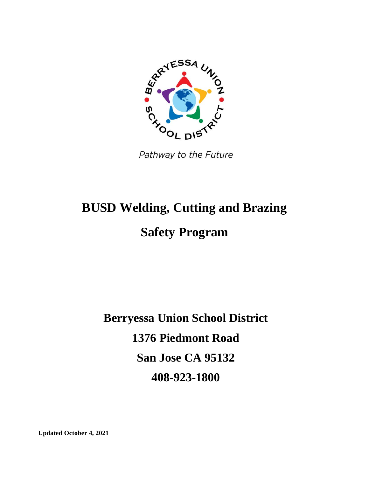

Pathway to the Future

# **BUSD Welding, Cutting and Brazing**

## **Safety Program**

**Berryessa Union School District 1376 Piedmont Road San Jose CA 95132 408-923-1800**

**Updated October 4, 2021**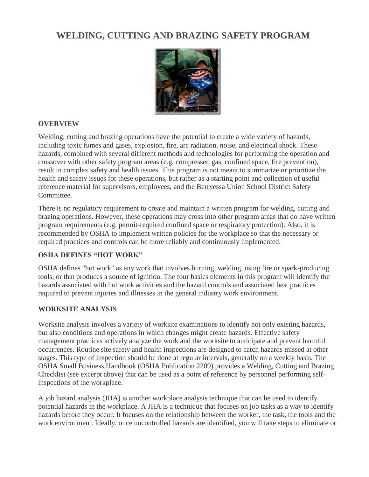### **WELDING, CUTTING AND BRAZING SAFETY PROGRAM**



#### **OVERVIEW**

Welding, cutting and brazing operations have the potential to create a wide variety of hazards, including toxic fumes and gases, explosion, fire, arc radiation, noise, and electrical shock. These hazards, combined with several different methods and technologies for performing the operation and crossover with other safety program areas (e.g. compressed gas, confined space, fire prevention), result in complex safety and health issues. This program is not meant to summarize or prioritize the health and safety issues for these operations, but rather as a starting point and collection of useful reference material for supervisors, employees, and the Berryessa Union School District Safety Committee.

There is no regulatory requirement to create and maintain a written program for welding, cutting and brazing operations. However, these operations may cross into other program areas that do have written program requirements (e.g. permit-required confined space or respiratory protection). Also, it is recommended by OSHA to implement written policies for the workplace so that the necessary or required practices and controls can be more reliably and continuously implemented.

#### **OSHA DEFINES "HOT WORK"**

OSHA defines "hot work" as any work that involves burning, welding, using fire or spark-producing tools, or that produces a source of ignition. The four basics elements in this program will identify the hazards associated with hot work activities and the hazard controls and associated best practices required to prevent injuries and illnesses in the general industry work environment.

#### **WORKSITE ANALYSIS**

Worksite analysis involves a variety of worksite examinations to identify not only existing hazards, but also conditions and operations in which changes might create hazards. Effective safety management practices actively analyze the work and the worksite to anticipate and prevent harmful occurrences. Routine site safety and health inspections are designed to catch hazards missed at other stages. This type of inspection should be done at regular intervals, generally on a weekly basis. The OSHA Small Business Handbook (OSHA Publication 2209) provides a Welding, Cutting and Brazing Checklist (see excerpt above) that can be used as a point of reference by personnel performing selfinspections of the workplace.

A job hazard analysis (JHA) is another workplace analysis technique that can be used to identify potential hazards in the workplace. A JHA is a technique that focuses on job tasks as a way to identify hazards before they occur. It focuses on the relationship between the worker, the task, the tools and the work environment. Ideally, once uncontrolled hazards are identified, you will take steps to eliminate or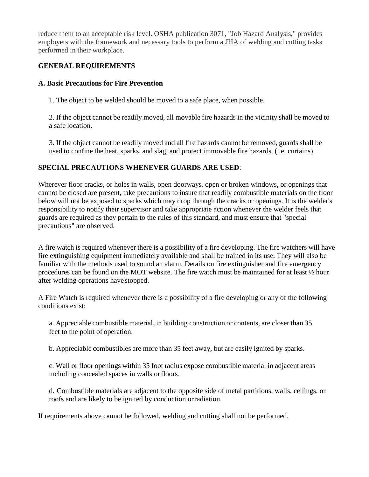reduce them to an acceptable risk level. OSHA publication 3071, "Job Hazard Analysis," provides employers with the framework and necessary tools to perform a JHA of welding and cutting tasks performed in their workplace.

#### **GENERAL REQUIREMENTS**

#### **A. Basic Precautions for Fire Prevention**

1. The object to be welded should be moved to a safe place, when possible.

2. If the object cannot be readily moved, all movable fire hazards in the vicinity shall be moved to a safe location.

3. If the object cannot be readily moved and all fire hazards cannot be removed, guards shall be used to confine the heat, sparks, and slag, and protect immovable fire hazards. (i.e. curtains)

#### **SPECIAL PRECAUTIONS WHENEVER GUARDS ARE USED**:

Wherever floor cracks, or holes in walls, open doorways, open or broken windows, or openings that cannot be closed are present, take precautions to insure that readily combustible materials on the floor below will not be exposed to sparks which may drop through the cracks or openings. It is the welder's responsibility to notify their supervisor and take appropriate action whenever the welder feels that guards are required as they pertain to the rules of this standard, and must ensure that "special precautions" are observed.

A fire watch is required whenever there is a possibility of a fire developing. The fire watchers will have fire extinguishing equipment immediately available and shall be trained in its use. They will also be familiar with the methods used to sound an alarm. Details on fire extinguisher and fire emergency procedures can be found on the MOT website. The fire watch must be maintained for at least ½ hour after welding operations have stopped.

A Fire Watch is required whenever there is a possibility of a fire developing or any of the following conditions exist:

a. Appreciable combustible material, in building construction or contents, are closer than 35 feet to the point of operation.

b. Appreciable combustibles are more than 35 feet away, but are easily ignited by sparks.

c. Wall or floor openings within 35 foot radius expose combustible material in adjacent areas including concealed spaces in walls orfloors.

d. Combustible materials are adjacent to the opposite side of metal partitions, walls, ceilings, or roofs and are likely to be ignited by conduction orradiation.

If requirements above cannot be followed, welding and cutting shall not be performed.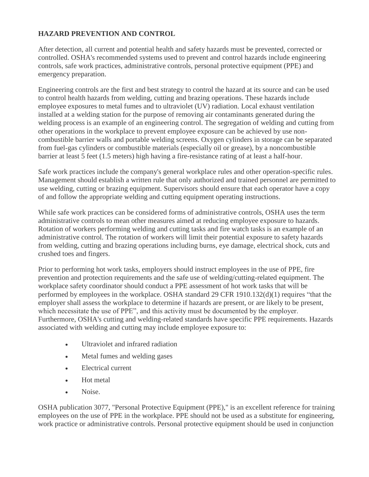#### **HAZARD PREVENTION AND CONTROL**

After detection, all current and potential health and safety hazards must be prevented, corrected or controlled. OSHA's recommended systems used to prevent and control hazards include engineering controls, safe work practices, administrative controls, personal protective equipment (PPE) and emergency preparation.

Engineering controls are the first and best strategy to control the hazard at its source and can be used to control health hazards from welding, cutting and brazing operations. These hazards include employee exposures to metal fumes and to ultraviolet (UV) radiation. Local exhaust ventilation installed at a welding station for the purpose of removing air contaminants generated during the welding process is an example of an engineering control. The segregation of welding and cutting from other operations in the workplace to prevent employee exposure can be achieved by use noncombustible barrier walls and portable welding screens. Oxygen cylinders in storage can be separated from fuel-gas cylinders or combustible materials (especially oil or grease), by a noncombustible barrier at least 5 feet (1.5 meters) high having a fire-resistance rating of at least a half-hour.

Safe work practices include the company's general workplace rules and other operation-specific rules. Management should establish a written rule that only authorized and trained personnel are permitted to use welding, cutting or brazing equipment. Supervisors should ensure that each operator have a copy of and follow the appropriate welding and cutting equipment operating instructions.

While safe work practices can be considered forms of administrative controls, OSHA uses the term administrative controls to mean other measures aimed at reducing employee exposure to hazards. Rotation of workers performing welding and cutting tasks and fire watch tasks is an example of an administrative control. The rotation of workers will limit their potential exposure to safety hazards from welding, cutting and brazing operations including burns, eye damage, electrical shock, cuts and crushed toes and fingers.

Prior to performing hot work tasks, employers should instruct employees in the use of PPE, fire prevention and protection requirements and the safe use of welding/cutting-related equipment. The workplace safety coordinator should conduct a PPE assessment of hot work tasks that will be performed by employees in the workplace. OSHA standard 29 CFR 1910.132(d)(1) requires "that the employer shall assess the workplace to determine if hazards are present, or are likely to be present, which necessitate the use of PPE", and this activity must be documented by the employer. Furthermore, OSHA's cutting and welding-related standards have specific PPE requirements. Hazards associated with welding and cutting may include employee exposure to:

- Ultraviolet and infrared radiation
- Metal fumes and welding gases
- Electrical current
- Hot metal
- Noise.

OSHA publication 3077, "Personal Protective Equipment (PPE)," is an excellent reference for training employees on the use of PPE in the workplace. PPE should not be used as a substitute for engineering, work practice or administrative controls. Personal protective equipment should be used in conjunction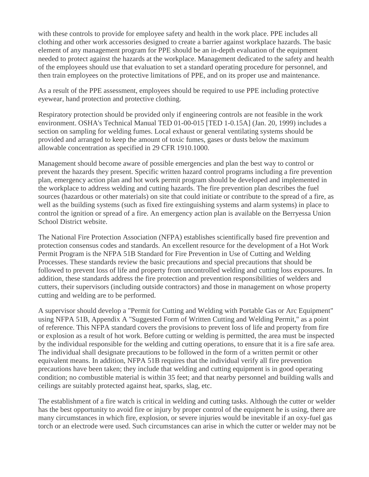with these controls to provide for employee safety and health in the work place. PPE includes all clothing and other work accessories designed to create a barrier against workplace hazards. The basic element of any management program for PPE should be an in-depth evaluation of the equipment needed to protect against the hazards at the workplace. Management dedicated to the safety and health of the employees should use that evaluation to set a standard operating procedure for personnel, and then train employees on the protective limitations of PPE, and on its proper use and maintenance.

As a result of the PPE assessment, employees should be required to use PPE including protective eyewear, hand protection and protective clothing.

Respiratory protection should be provided only if engineering controls are not feasible in the work environment. OSHA's Technical Manual TED 01-00-015 [TED 1-0.15A] (Jan. 20, 1999) includes a section on sampling for welding fumes. Local exhaust or general ventilating systems should be provided and arranged to keep the amount of toxic fumes, gases or dusts below the maximum allowable concentration as specified in 29 CFR 1910.1000.

Management should become aware of possible emergencies and plan the best way to control or prevent the hazards they present. Specific written hazard control programs including a fire prevention plan, emergency action plan and hot work permit program should be developed and implemented in the workplace to address welding and cutting hazards. The fire prevention plan describes the fuel sources (hazardous or other materials) on site that could initiate or contribute to the spread of a fire, as well as the building systems (such as fixed fire extinguishing systems and alarm systems) in place to control the ignition or spread of a fire. An emergency action plan is available on the Berryessa Union School District website.

The National Fire Protection Association (NFPA) establishes scientifically based fire prevention and protection consensus codes and standards. An excellent resource for the development of a Hot Work Permit Program is the NFPA 51B Standard for Fire Prevention in Use of Cutting and Welding Processes. These standards review the basic precautions and special precautions that should be followed to prevent loss of life and property from uncontrolled welding and cutting loss exposures. In addition, these standards address the fire protection and prevention responsibilities of welders and cutters, their supervisors (including outside contractors) and those in management on whose property cutting and welding are to be performed.

A supervisor should develop a "Permit for Cutting and Welding with Portable Gas or Arc Equipment" using NFPA 51B, Appendix A "Suggested Form of Written Cutting and Welding Permit," as a point of reference. This NFPA standard covers the provisions to prevent loss of life and property from fire or explosion as a result of hot work. Before cutting or welding is permitted, the area must be inspected by the individual responsible for the welding and cutting operations, to ensure that it is a fire safe area. The individual shall designate precautions to be followed in the form of a written permit or other equivalent means. In addition, NFPA 51B requires that the individual verify all fire prevention precautions have been taken; they include that welding and cutting equipment is in good operating condition; no combustible material is within 35 feet; and that nearby personnel and building walls and ceilings are suitably protected against heat, sparks, slag, etc.

The establishment of a fire watch is critical in welding and cutting tasks. Although the cutter or welder has the best opportunity to avoid fire or injury by proper control of the equipment he is using, there are many circumstances in which fire, explosion, or severe injuries would be inevitable if an oxy-fuel gas torch or an electrode were used. Such circumstances can arise in which the cutter or welder may not be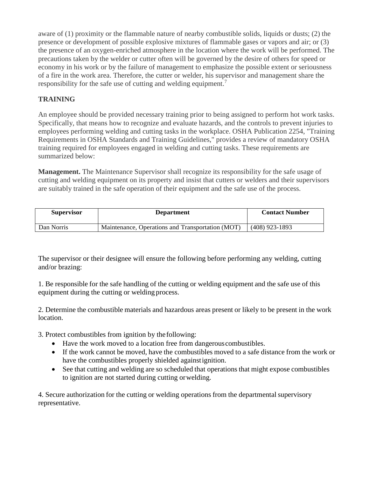aware of (1) proximity or the flammable nature of nearby combustible solids, liquids or dusts; (2) the presence or development of possible explosive mixtures of flammable gases or vapors and air; or (3) the presence of an oxygen-enriched atmosphere in the location where the work will be performed. The precautions taken by the welder or cutter often will be governed by the desire of others for speed or economy in his work or by the failure of management to emphasize the possible extent or seriousness of a fire in the work area. Therefore, the cutter or welder, his supervisor and management share the responsibility for the safe use of cutting and welding equipment.<sup>7</sup>

#### **TRAINING**

An employee should be provided necessary training prior to being assigned to perform hot work tasks. Specifically, that means how to recognize and evaluate hazards, and the controls to prevent injuries to employees performing welding and cutting tasks in the workplace. OSHA Publication 2254, "Training Requirements in OSHA Standards and Training Guidelines," provides a review of mandatory OSHA training required for employees engaged in welding and cutting tasks. These requirements are summarized below:

**Management.** The Maintenance Supervisor shall recognize its responsibility for the safe usage of cutting and welding equipment on its property and insist that cutters or welders and their supervisors are suitably trained in the safe operation of their equipment and the safe use of the process.

| <b>Supervisor</b> | <b>Department</b>                                | <b>Contact Number</b> |
|-------------------|--------------------------------------------------|-----------------------|
| Dan Norris        | Maintenance, Operations and Transportation (MOT) | $(408)$ 923-1893      |

The supervisor or their designee will ensure the following before performing any welding, cutting and/or brazing:

1. Be responsible for the safe handling of the cutting or welding equipment and the safe use of this equipment during the cutting or welding process.

2. Determine the combustible materials and hazardous areas present or likely to be present in the work location.

3. Protect combustibles from ignition by thefollowing:

- Have the work moved to a location free from dangerouscombustibles.
- If the work cannot be moved, have the combustibles moved to a safe distance from the work or have the combustibles properly shielded againstignition.
- See that cutting and welding are so scheduled that operations that might expose combustibles to ignition are not started during cutting orwelding.

4. Secure authorization for the cutting or welding operations from the departmental supervisory representative.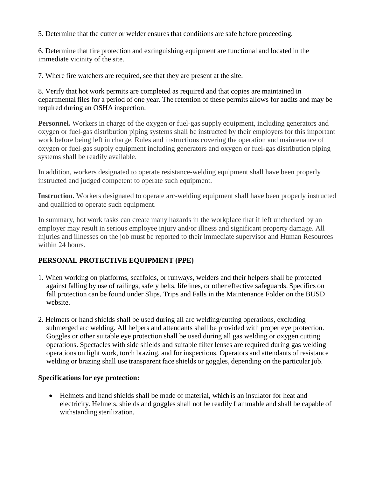5. Determine that the cutter or welder ensures that conditions are safe before proceeding.

6. Determine that fire protection and extinguishing equipment are functional and located in the immediate vicinity of the site.

7. Where fire watchers are required, see that they are present at the site.

8. Verify that hot work permits are completed as required and that copies are maintained in departmental files for a period of one year. The retention of these permits allows for audits and may be required during an OSHA inspection.

**Personnel.** Workers in charge of the oxygen or fuel-gas supply equipment, including generators and oxygen or fuel-gas distribution piping systems shall be instructed by their employers for this important work before being left in charge. Rules and instructions covering the operation and maintenance of oxygen or fuel-gas supply equipment including generators and oxygen or fuel-gas distribution piping systems shall be readily available.

In addition, workers designated to operate resistance-welding equipment shall have been properly instructed and judged competent to operate such equipment.

**Instruction.** Workers designated to operate arc-welding equipment shall have been properly instructed and qualified to operate such equipment.

In summary, hot work tasks can create many hazards in the workplace that if left unchecked by an employer may result in serious employee injury and/or illness and significant property damage. All injuries and illnesses on the job must be reported to their immediate supervisor and Human Resources within 24 hours.

#### **PERSONAL PROTECTIVE EQUIPMENT (PPE)**

- 1. When working on platforms, scaffolds, or runways, welders and their helpers shall be protected against falling by use of railings, safety belts, lifelines, or other effective safeguards. Specifics on fall protection can be found under Slips, Trips and Falls in the Maintenance Folder on the BUSD website.
- 2. Helmets or hand shields shall be used during all arc welding/cutting operations, excluding submerged arc welding. All helpers and attendants shall be provided with proper eye protection. Goggles or other suitable eye protection shall be used during all gas welding or oxygen cutting operations. Spectacles with side shields and suitable filter lenses are required during gas welding operations on light work, torch brazing, and for inspections. Operators and attendants of resistance welding or brazing shall use transparent face shields or goggles, depending on the particular job.

#### **Specifications for eye protection:**

 Helmets and hand shields shall be made of material, which is an insulator for heat and electricity. Helmets, shields and goggles shall not be readily flammable and shall be capable of withstanding sterilization.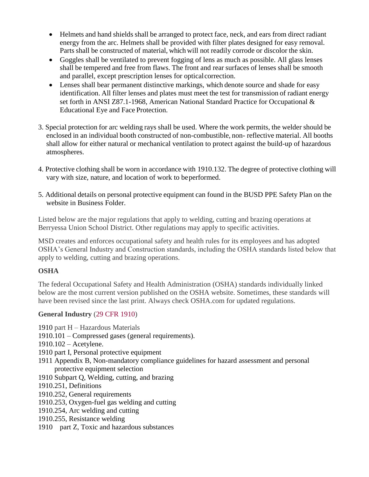- Helmets and hand shields shall be arranged to protect face, neck, and ears from direct radiant energy from the arc. Helmets shall be provided with filter plates designed for easy removal. Parts shall be constructed of material, which will not readily corrode or discolor the skin.
- Goggles shall be ventilated to prevent fogging of lens as much as possible. All glass lenses shall be tempered and free from flaws. The front and rear surfaces of lenses shall be smooth and parallel, except prescription lenses for opticalcorrection.
- Lenses shall bear permanent distinctive markings, which denote source and shade for easy identification. All filter lenses and plates must meet the test for transmission of radiant energy set forth in ANSI Z87.1-1968, American National Standard Practice for Occupational & Educational Eye and Face Protection.
- 3. Special protection for arc welding rays shall be used. Where the work permits, the welder should be enclosed in an individual booth constructed of non-combustible, non- reflective material. All booths shall allow for either natural or mechanical ventilation to protect against the build-up of hazardous atmospheres.
- 4. Protective clothing shall be worn in accordance with 1910.132. The degree of protective clothing will vary with size, nature, and location of work to beperformed.
- 5. Additional details on personal protective equipment can found in the BUSD PPE Safety Plan on the website in Business Folder.

Listed below are the major regulations that apply to welding, cutting and brazing operations at Berryessa Union School District. Other regulations may apply to specific activities.

MSD creates and enforces occupational safety and health rules for its employees and has adopted OSHA's General Industry and Construction standards, including the OSHA standards listed below that apply to welding, cutting and brazing operations.

#### **OSHA**

The federal Occupational Safety and Health Administration (OSHA) standards individually linked below are the most current version published on the OSHA website. Sometimes, these standards will have been revised since the last print. Always check OSHA.com for updated regulations.

#### **General Industry** (29 CFR 1910)

- 1910 part H Hazardous Materials
- 1910.101 Compressed gases (general requirements).
- 1910.102 Acetylene.
- 1910 part I, Personal protective equipment
- 1911 Appendix B, Non-mandatory compliance guidelines for hazard assessment and personal protective equipment selection
- 1910 Subpart Q, Welding, cutting, and brazing
- 1910.251, Definitions
- 1910.252, General requirements
- 1910.253, Oxygen-fuel gas welding and cutting
- 1910.254, Arc welding and cutting
- 1910.255, Resistance welding
- 1910 part Z, Toxic and hazardous substances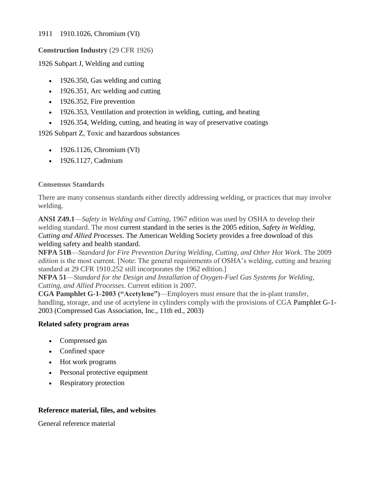#### 1911 1910.1026, Chromium (VI)

#### **Construction Industry** (29 CFR 1926)

1926 Subpart J, Welding and cutting

- 1926.350, Gas welding and cutting
- 1926.351, Arc welding and cutting
- 1926.352, Fire prevention
- 1926.353, Ventilation and protection in welding, cutting, and heating
- 1926.354, Welding, cutting, and heating in way of preservative coatings

1926 Subpart Z, Toxic and hazardous substances

- $\bullet$  1926.1126, Chromium (VI)
- 1926.1127, Cadmium

#### **Consensus Standards**

There are many consensus standards either directly addressing welding, or practices that may involve welding.

**ANSI Z49.1**—*Safety in Welding and Cutting*, 1967 edition was used by OSHA to develop their welding standard. The most current standard in the series is the 2005 edition, *Safety in Welding, Cutting and Allied Processes*. The American Welding Society provides a free download of this welding safety and health standard.

**NFPA 51B**—*Standard for Fire Prevention During Welding, Cutting, and Other Hot Work*. The 2009 edition is the most current. [Note: The general requirements of OSHA's welding, cutting and brazing standard at 29 CFR 1910.252 still incorporates the 1962 edition.]

**NFPA 51**—*Standard for the Design and Installation of Oxygen-Fuel Gas Systems for Welding, Cutting, and Allied Processes*. Current edition is 2007.

**CGA Pamphlet G-1-2003 ("Acetylene")**—Employers must ensure that the in-plant transfer, handling, storage, and use of acetylene in cylinders comply with the provisions of CGA Pamphlet G-1- 2003 (Compressed Gas Association, Inc., 11th ed., 2003)

#### **Related safety program areas**

- Compressed gas
- Confined space
- Hot work programs
- Personal protective equipment
- Respiratory protection

#### **Reference material, files, and websites**

General reference material